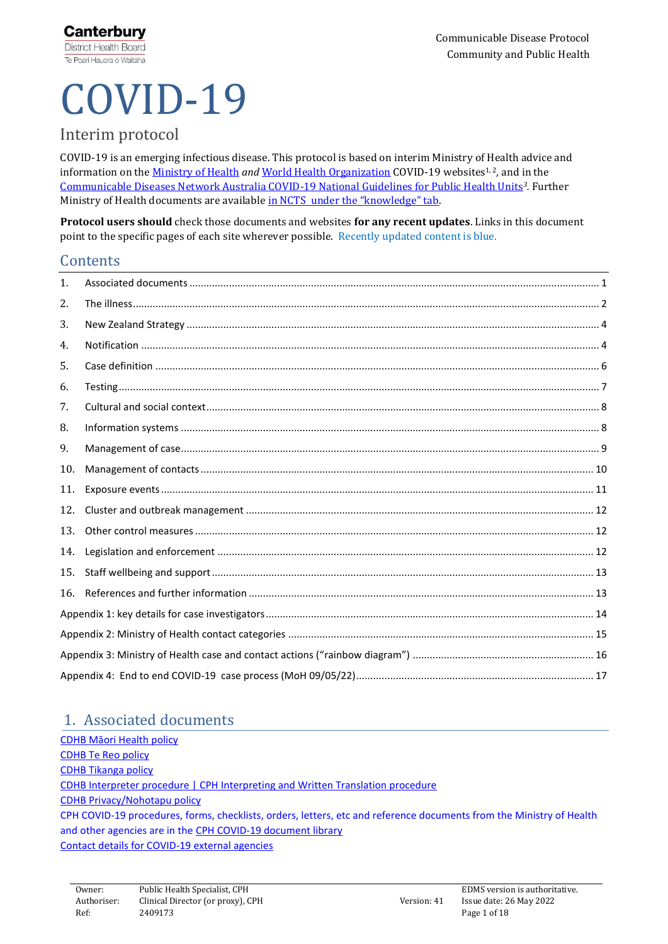# COVID-19

# Interim protocol

COVID-19 is an emerging infectious disease. This protocol is based on interim Ministry of Health advice and information on the <u>[Ministry of Health](https://www.health.govt.nz/our-work/diseases-and-conditions/covid-19-novel-coronavirus) *and* [World Health Organization](https://www.who.int/emergencies/diseases/novel-coronavirus-2019)</u> COVID-19 websites<sup>1, 2</sup>, and in the [Communicable Diseases Network Australia COVID-19 National Guidelines for Public Health Units](https://www1.health.gov.au/internet/main/publishing.nsf/Content/cdna-song-novel-coronavirus.htm)*3.* Further Ministry of Health documents are available [in NCTS under the "knowledge" tab](https://ncts.lightning.force.com/lightning/r/ka04a0000000mD9AAI/view).

**Protocol users should** check those documents and websites **for any recent updates**. Links in this document point to the specific pages of each site wherever possible. Recently updated content is blue.

## Contents

| 1.  |  |  |  |  |  |
|-----|--|--|--|--|--|
| 2.  |  |  |  |  |  |
| 3.  |  |  |  |  |  |
| 4.  |  |  |  |  |  |
| 5.  |  |  |  |  |  |
| 6.  |  |  |  |  |  |
| 7.  |  |  |  |  |  |
| 8.  |  |  |  |  |  |
| 9.  |  |  |  |  |  |
| 10. |  |  |  |  |  |
| 11. |  |  |  |  |  |
| 12. |  |  |  |  |  |
| 13. |  |  |  |  |  |
| 14. |  |  |  |  |  |
| 15. |  |  |  |  |  |
| 16. |  |  |  |  |  |
|     |  |  |  |  |  |
|     |  |  |  |  |  |
|     |  |  |  |  |  |
|     |  |  |  |  |  |

## <span id="page-0-0"></span>1. Associated documents

C[DHB Māori Health policy](https://prism.cdhb.health.nz/site/policies/_layouts/15/WopiFrame.aspx?sourcedoc=%7B63c36120-9031-4062-834b-ab2507ff74df%7D&action=view) [CDHB Te Reo policy](https://prism.cdhb.health.nz/site/policies/_layouts/15/WopiFrame2.aspx?sourcedoc=%7B6b0ed623-025f-409d-b0a9-3fbe350ae502%7D&action=view) [CDHB Tikanga policy](https://prism.cdhb.health.nz/site/policies/_layouts/15/WopiFrame.aspx?sourcedoc=%7B67b564a5-3f22-447b-a013-f45311c616e6%7D&action=view) [CDHB Interpreter procedure](https://prism.cdhb.health.nz/site/policies/_layouts/15/WopiFrame.aspx?sourcedoc=%7Bebb6b914-a64e-4a51-a440-9c5f464fff6d%7D&action=view) | [CPH Interpreting and Written Translation procedure](https://prism.cdhb.health.nz/site/policies/_layouts/15/WopiFrame2.aspx?sourcedoc=%7B820bfed2-c004-423d-a68b-ce1f74a5b6b1%7D&action=view) CDHB [Privacy/Nohotapu policy](https://prism.cdhb.health.nz/site/policies/_layouts/15/WopiFrame.aspx?sourcedoc=%7b950a7a46-eda8-4b65-a25d-49ac6fc64840%7d&action=view) CPH COVID-19 procedures, forms, checklists, orders, letters, etc and reference documents from the Ministry of Health and other agencies are in th[e CPH COVID-19 document library](https://cdhbintranet.cdhb.health.nz/communitypublichealth/cphpoliciesandprocedures/COVID19/Home.aspx) [Contact details](https://cdhbintranet.cdhb.health.nz/communitypublichealth/cphpoliciesandprocedures/COVID19KeyContacts/Home.aspx) for COVID-19 external agencies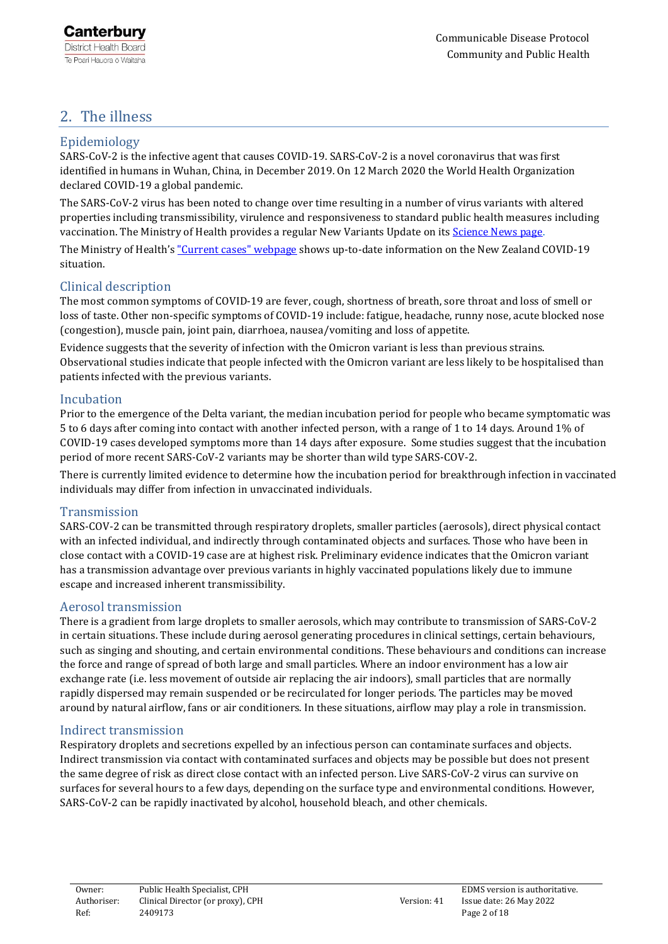# <span id="page-1-0"></span>2. The illness

## Epidemiology

SARS-CoV-2 is the infective agent that causes COVID-19. SARS-CoV-2 is a novel coronavirus that was first identified in humans in Wuhan, China, in December 2019. On 12 March 2020 the World Health Organization declared COVID-19 a global pandemic.

The SARS-CoV-2 virus has been noted to change over time resulting in a number of virus variants with altered properties including transmissibility, virulence and responsiveness to standard public health measures including vaccination. The Ministry of Health provides a regular New Variants Update on it[s Science News page.](https://www.health.govt.nz/our-work/diseases-and-conditions/covid-19-novel-coronavirus/covid-19-resources-and-tools/covid-19-science-news)

The Ministry of Health's ["Current cases" webpage](https://www.health.govt.nz/covid-19-novel-coronavirus/covid-19-data-and-statistics/covid-19-current-cases) shows up-to-date information on the New Zealand COVID-19 situation.

## Clinical description

The most common symptoms of COVID-19 are fever, cough, shortness of breath, sore throat and loss of smell or loss of taste. Other non-specific symptoms of COVID-19 include: fatigue, headache, runny nose, acute blocked nose (congestion), muscle pain, joint pain, diarrhoea, nausea/vomiting and loss of appetite.

Evidence suggests that the severity of infection with the Omicron variant is less than previous strains. Observational studies indicate that people infected with the Omicron variant are less likely to be hospitalised than patients infected with the previous variants.

## Incubation

Prior to the emergence of the Delta variant, the median incubation period for people who became symptomatic was 5 to 6 days after coming into contact with another infected person, with a range of 1 to 14 days. Around 1% of COVID-19 cases developed symptoms more than 14 days after exposure. Some studies suggest that the incubation period of more recent SARS-CoV-2 variants may be shorter than wild type SARS-COV-2.

There is currently limited evidence to determine how the incubation period for breakthrough infection in vaccinated individuals may differ from infection in unvaccinated individuals.

#### Transmission

SARS-COV-2 can be transmitted through respiratory droplets, smaller particles (aerosols), direct physical contact with an infected individual, and indirectly through contaminated objects and surfaces. Those who have been in close contact with a COVID-19 case are at highest risk. Preliminary evidence indicates that the Omicron variant has a transmission advantage over previous variants in highly vaccinated populations likely due to immune escape and increased inherent transmissibility.

#### Aerosol transmission

There is a gradient from large droplets to smaller aerosols, which may contribute to transmission of SARS-CoV-2 in certain situations. These include during aerosol generating procedures in clinical settings, certain behaviours, such as singing and shouting, and certain environmental conditions. These behaviours and conditions can increase the force and range of spread of both large and small particles. Where an indoor environment has a low air exchange rate (i.e. less movement of outside air replacing the air indoors), small particles that are normally rapidly dispersed may remain suspended or be recirculated for longer periods. The particles may be moved around by natural airflow, fans or air conditioners. In these situations, airflow may play a role in transmission.

## Indirect transmission

Respiratory droplets and secretions expelled by an infectious person can contaminate surfaces and objects. Indirect transmission via contact with contaminated surfaces and objects may be possible but does not present the same degree of risk as direct close contact with an infected person. Live SARS-CoV-2 virus can survive on surfaces for several hours to a few days, depending on the surface type and environmental conditions. However, SARS-CoV-2 can be rapidly inactivated by alcohol, household bleach, and other chemicals.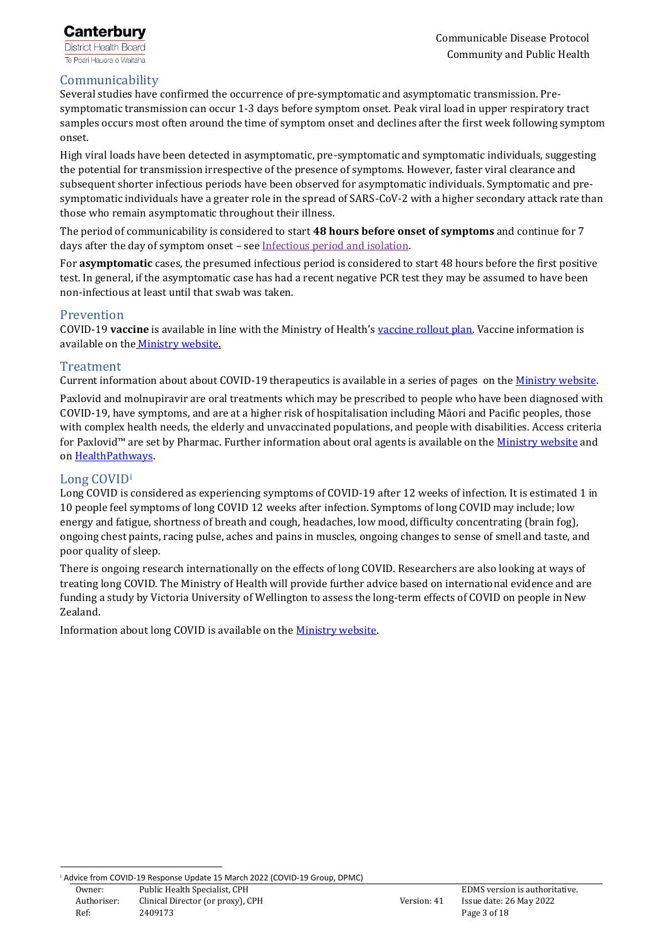

## Communicability

Several studies have confirmed the occurrence of pre-symptomatic and asymptomatic transmission. Presymptomatic transmission can occur 1-3 days before symptom onset. Peak viral load in upper respiratory tract samples occurs most often around the time of symptom onset and declines after the first week following symptom onset.

High viral loads have been detected in asymptomatic, pre-symptomatic and symptomatic individuals, suggesting the potential for transmission irrespective of the presence of symptoms. However, faster viral clearance and subsequent shorter infectious periods have been observed for asymptomatic individuals. Symptomatic and presymptomatic individuals have a greater role in the spread of SARS-CoV-2 with a higher secondary attack rate than those who remain asymptomatic throughout their illness.

The period of communicability is considered to start **48 hours before onset of symptoms** and continue for 7 days after the day of symptom onset - see [Infectious period and isolation.](#page-8-1)

For **asymptomatic** cases, the presumed infectious period is considered to start 48 hours before the first positive test. In general, if the asymptomatic case has had a recent negative PCR test they may be assumed to have been non-infectious at least until that swab was taken.

#### Prevention

COVID-19 **vaccine** is available in line with the Ministry of Health's [vaccine rollout plan.](https://www.health.govt.nz/our-work/diseases-and-conditions/covid-19-novel-coronavirus/covid-19-vaccines/covid-19-getting-vaccine/covid-19-vaccine-rollout) Vaccine information is available on the [Ministry website.](https://www.health.govt.nz/our-work/diseases-and-conditions/covid-19-novel-coronavirus/covid-19-vaccines)

#### Treatment

Current information about about COVID-19 therapeutics is available in a series of pages on the [Ministry website.](https://www.health.govt.nz/covid-19-novel-coronavirus/covid-19-information-health-professionals/covid-19-advice-all-health-professionals#therapeutics)  Paxlovid and molnupiravir are oral treatments which may be prescribed to people who have been diagnosed with COVID-19, have symptoms, and are at a higher risk of hospitalisation including Māori and Pacific peoples, those with complex health needs, the elderly and unvaccinated populations, and people with disabilities. Access criteria for Paxlovid™ are set by Pharmac. Further information about oral agents is available on the [Ministry website](https://www.health.govt.nz/system/files/documents/pages/final_paxlovid_and_molnupiravir_guidance_4.5.22.pdf) and on [HealthPathways.](https://canterbury.communityhealthpathways.org/13454.htm) 

#### Long COVID<sup>i</sup>

Long COVID is considered as experiencing symptoms of COVID-19 after 12 weeks of infection. It is estimated 1 in 10 people feel symptoms of long COVID 12 weeks after infection. Symptoms of long COVID may include; low energy and fatigue, shortness of breath and cough, headaches, low mood, difficulty concentrating (brain fog), ongoing chest paints, racing pulse, aches and pains in muscles, ongoing changes to sense of smell and taste, and poor quality of sleep.

There is ongoing research internationally on the effects of long COVID. Researchers are also looking at ways of treating long COVID. The Ministry of Health will provide further advice based on international evidence and are funding a study by Victoria University of Wellington to assess the long-term effects of COVID on people in New Zealand.

Information about long COVID is available on the [Ministry website.](https://www.health.govt.nz/covid-19-novel-coronavirus/covid-19-health-advice-public/about-covid-19/long-covid)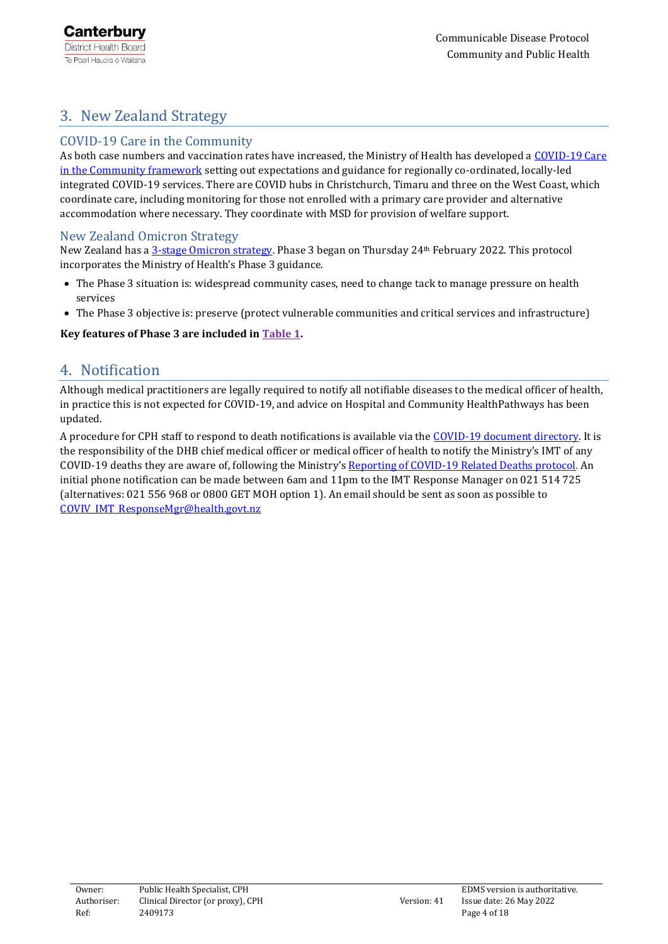# <span id="page-3-0"></span>3. New Zealand Strategy

## COVID-19 Care in the Community

As both case numbers and vaccination rates have increased, the Ministry of Health has developed a [COVID-19 Care](https://urldefense.com/v3/__https:/www.health.govt.nz/our-work/diseases-and-conditions/covid-19-novel-coronavirus/covid-19-information-health-professionals/caring-people-covid-19-community__;!!NUwMCyKv!PyPHey1q2End2rxrTdjKnMcE2MeVTir3RtntanJiEibNNqFxzQ5DmG7pAREbcD-LYRrKIUj0Pw$)  [in the Community framework](https://urldefense.com/v3/__https:/www.health.govt.nz/our-work/diseases-and-conditions/covid-19-novel-coronavirus/covid-19-information-health-professionals/caring-people-covid-19-community__;!!NUwMCyKv!PyPHey1q2End2rxrTdjKnMcE2MeVTir3RtntanJiEibNNqFxzQ5DmG7pAREbcD-LYRrKIUj0Pw$) setting out expectations and guidance for regionally co-ordinated, locally-led integrated COVID-19 services. There are COVID hubs in Christchurch, Timaru and three on the West Coast, which coordinate care, including monitoring for those not enrolled with a primary care provider and alternative accommodation where necessary. They coordinate with MSD for provision of welfare support.

## New Zealand Omicron Strategy

New Zealand has [a 3-stage Omicron strategy.](https://www.health.govt.nz/system/files/documents/pages/responding_to_omicron_phase_3_march_110322_final.pdf) Phase 3 began on Thursday 24th February 2022. This protocol incorporates the Ministry of Health's Phase 3 guidance.

- The Phase 3 situation is: widespread community cases, need to change tack to manage pressure on health services
- The Phase 3 objective is: preserve (protect vulnerable communities and critical services and infrastructure)

## <span id="page-3-1"></span>**Key features of Phase 3 are included in [Table 1.](#page-4-0)**

## 4. Notification

Although medical practitioners are legally required to notify all notifiable diseases to the medical officer of health, in practice this is not expected for COVID-19, and advice on Hospital and Community HealthPathways has been updated.

A procedure for CPH staff to respond to death notifications is available via th[e COVID-19 document directory.](https://cdhbintranet.cdhb.health.nz/communitypublichealth/cphpoliciesandprocedures/Documents/CPHDeathsInCommunityAndHospitalSettingsProcedure.docx) It is the responsibility of the DHB chief medical officer or medical officer of health to notify the Ministry's IMT of any COVID-19 deaths they are aware of, following the Ministry's [Reporting of COVID-19 Related Deaths protocol.](https://cdhbintranet.cdhb.health.nz/communitypublichealth/cphpoliciesandprocedures/SiteAssets/SitePages/CommunityCasesAndContacts/PHUProcessWhenDeceasedCaseIsIdentified220519.pdf) An initial phone notification can be made between 6am and 11pm to the IMT Response Manager on 021 514 725 (alternatives: 021 556 968 or 0800 GET MOH option 1). An email should be sent as soon as possible to [COVIV\\_IMT\\_ResponseMgr@health.govt.nz](mailto:COVIV_IMT_ResponseMgr@health.govt.nz)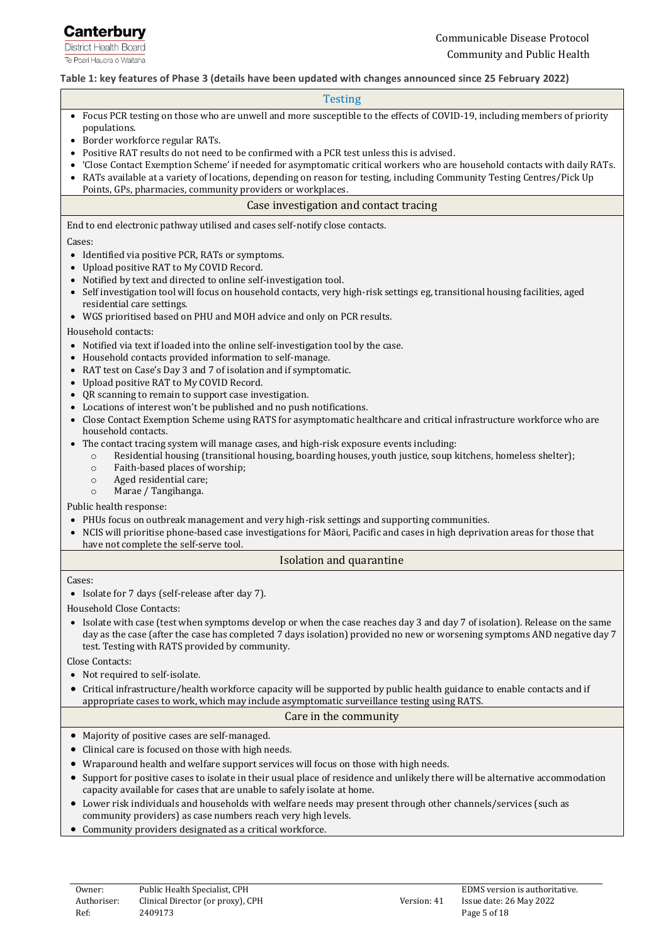

#### <span id="page-4-0"></span>**Table 1: key features of Phase 3 (details have been updated with changes announced since 25 February 2022)**

#### Testing

- Focus PCR testing on those who are unwell and more susceptible to the effects of COVID-19, including members of priority populations.
- Border workforce regular RATs.
- Positive RAT results do not need to be confirmed with a PCR test unless this is advised.
- 'Close Contact Exemption Scheme' if needed for asymptomatic critical workers who are household contacts with daily RATs.
- RATs available at a variety of locations, depending on reason for testing, including Community Testing Centres/Pick Up Points, GPs, pharmacies, community providers or workplaces.

#### Case investigation and contact tracing

End to end electronic pathway utilised and cases self-notify close contacts.

#### Cases:

- Identified via positive PCR, RATs or symptoms.
- Upload positive RAT to My COVID Record.
- Notified by text and directed to online self-investigation tool.
- Self investigation tool will focus on household contacts, very high-risk settings eg, transitional housing facilities, aged residential care settings.
- WGS prioritised based on PHU and MOH advice and only on PCR results.

#### Household contacts:

- Notified via text if loaded into the online self-investigation tool by the case.
- Household contacts provided information to self-manage.
- RAT test on Case's Day 3 and 7 of isolation and if symptomatic.
- Upload positive RAT to My COVID Record.
- QR scanning to remain to support case investigation.
- Locations of interest won't be published and no push notifications.
- Close Contact Exemption Scheme using RATS for asymptomatic healthcare and critical infrastructure workforce who are household contacts.
- The contact tracing system will manage cases, and high-risk exposure events including:
	- o Residential housing (transitional housing, boarding houses, youth justice, soup kitchens, homeless shelter);
	- o Faith-based places of worship;
	- o Aged residential care;
	- o Marae / Tangihanga.

Public health response:

- PHUs focus on outbreak management and very high-risk settings and supporting communities.
- NCIS will prioritise phone-based case investigations for Māori, Pacific and cases in high deprivation areas for those that have not complete the self-serve tool.

#### Isolation and quarantine

#### Cases:

• Isolate for 7 days (self-release after day 7).

Household Close Contacts:

• Isolate with case (test when symptoms develop or when the case reaches day 3 and day 7 of isolation). Release on the same day as the case (after the case has completed 7 days isolation) provided no new or worsening symptoms AND negative day 7 test. Testing with RATS provided by community.

Close Contacts:

- Not required to self-isolate.
- Critical infrastructure/health workforce capacity will be supported by public health guidance to enable contacts and if appropriate cases to work, which may include asymptomatic surveillance testing using RATS.

#### Care in the community

- Majority of positive cases are self-managed.
- Clinical care is focused on those with high needs.
- Wraparound health and welfare support services will focus on those with high needs.
- Support for positive cases to isolate in their usual place of residence and unlikely there will be alternative accommodation capacity available for cases that are unable to safely isolate at home.
- Lower risk individuals and households with welfare needs may present through other channels/services (such as community providers) as case numbers reach very high levels.
- Community providers designated as a critical workforce.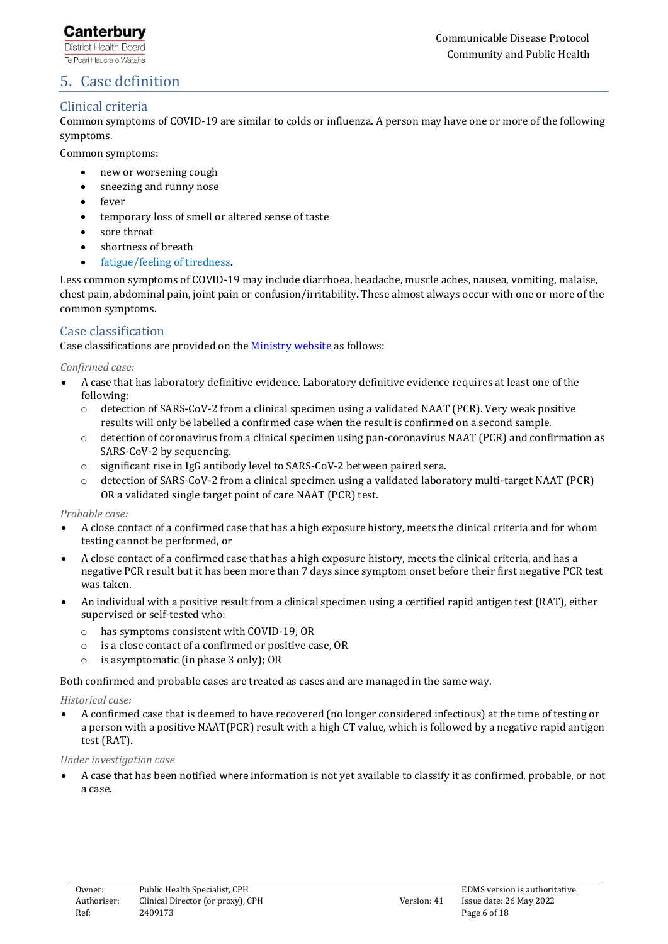## **Canterbury**

**District Health Board** Te Poari Hauora ō Waitaha

## <span id="page-5-0"></span>5. Case definition

## Clinical criteria

Common symptoms of COVID-19 are similar to colds or influenza. A person may have one or more of the following symptoms.

Common symptoms:

- new or worsening cough
- sneezing and runny nose
- fever
- temporary loss of smell or altered sense of taste
- sore throat
- shortness of breath
- fatigue/feeling of tiredness.

Less common symptoms of COVID-19 may include diarrhoea, headache, muscle aches, nausea, vomiting, malaise, chest pain, abdominal pain, joint pain or confusion/irritability. These almost always occur with one or more of the common symptoms.

## Case classification

Case classifications are provided on the [Ministry website](https://www.health.govt.nz/covid-19-novel-coronavirus/covid-19-information-health-professionals/case-definition-and-clinical-testing-guidelines-covid-19#case) as follows:

*Confirmed case:*

- A case that has laboratory definitive evidence. Laboratory definitive evidence requires at least one of the following:
	- o detection of SARS-CoV-2 from a clinical specimen using a validated NAAT (PCR). Very weak positive results will only be labelled a confirmed case when the result is confirmed on a second sample.
	- $\circ$  detection of coronavirus from a clinical specimen using pan-coronavirus NAAT (PCR) and confirmation as SARS-CoV-2 by sequencing.
	- o significant rise in IgG antibody level to SARS-CoV-2 between paired sera.
	- detection of SARS-CoV-2 from a clinical specimen using a validated laboratory multi-target NAAT (PCR) OR a validated single target point of care NAAT (PCR) test.

*Probable case:*

- A close contact of a confirmed case that has a high exposure history, meets the clinical criteria and for whom testing cannot be performed, or
- A close contact of a confirmed case that has a high exposure history, meets the clinical criteria, and has a negative PCR result but it has been more than 7 days since symptom onset before their first negative PCR test was taken.
- An individual with a positive result from a clinical specimen using a certified rapid antigen test (RAT), either supervised or self-tested who:
	- o has symptoms consistent with COVID-19, OR
	- o is a close contact of a confirmed or positive case, OR
	- o is asymptomatic (in phase 3 only); OR

Both confirmed and probable cases are treated as cases and are managed in the same way.

*Historical case:*

• A confirmed case that is deemed to have recovered (no longer considered infectious) at the time of testing or a person with a positive NAAT(PCR) result with a high CT value, which is followed by a negative rapid antigen test (RAT).

*Under investigation case*

• A case that has been notified where information is not yet available to classify it as confirmed, probable, or not a case.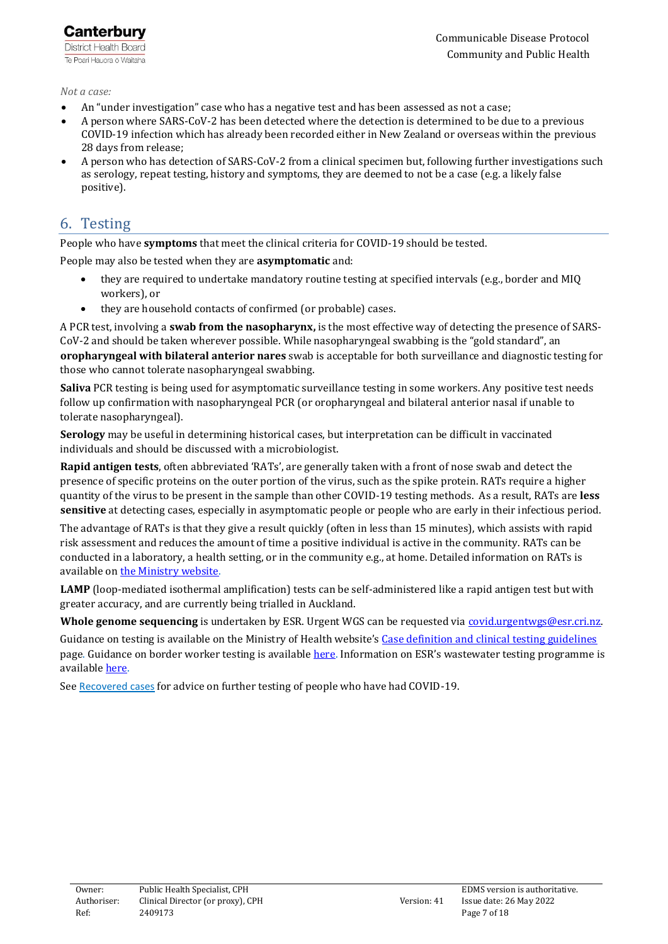*Not a case:*

- An "under investigation" case who has a negative test and has been assessed as not a case;
- A person where SARS-CoV-2 has been detected where the detection is determined to be due to a previous COVID-19 infection which has already been recorded either in New Zealand or overseas within the previous 28 days from release;
- A person who has detection of SARS-CoV-2 from a clinical specimen but, following further investigations such as serology, repeat testing, history and symptoms, they are deemed to not be a case (e.g. a likely false positive).

# <span id="page-6-0"></span>6. Testing

People who have **symptoms** that meet the clinical criteria for COVID-19 should be tested.

People may also be tested when they are **asymptomatic** and:

- they are required to undertake mandatory routine testing at specified intervals (e.g., border and MIQ workers), or
- they are household contacts of confirmed (or probable) cases.

A PCR test, involving a **swab from the nasopharynx,** is the most effective way of detecting the presence of SARS-CoV-2 and should be taken wherever possible. While nasopharyngeal swabbing is the "gold standard", an **oropharyngeal with bilateral anterior nares** swab is acceptable for both surveillance and diagnostic testing for those who cannot tolerate nasopharyngeal swabbing.

**Saliva** PCR testing is being used for asymptomatic surveillance testing in some workers. Any positive test needs follow up confirmation with nasopharyngeal PCR (or oropharyngeal and bilateral anterior nasal if unable to tolerate nasopharyngeal).

**Serology** may be useful in determining historical cases, but interpretation can be difficult in vaccinated individuals and should be discussed with a microbiologist.

**Rapid antigen tests**, often abbreviated 'RATs', are generally taken with a front of nose swab and detect the presence of specific proteins on the outer portion of the virus, such as the spike protein. RATs require a higher quantity of the virus to be present in the sample than other COVID-19 testing methods. As a result, RATs are **less sensitive** at detecting cases, especially in asymptomatic people or people who are early in their infectious period.

The advantage of RATs is that they give a result quickly (often in less than 15 minutes), which assists with rapid risk assessment and reduces the amount of time a positive individual is active in the community. RATs can be conducted in a laboratory, a health setting, or in the community e.g., at home. Detailed information on RATs is available o[n the Ministry website.](https://www.health.govt.nz/covid-19-novel-coronavirus/covid-19-health-advice-public/assessment-and-testing-covid-19/rapid-antigen-testing)

**LAMP** (loop-mediated isothermal amplification) tests can be self-administered like a rapid antigen test but with greater accuracy, and are currently being trialled in Auckland.

**Whole genome sequencing** is undertaken by ESR. Urgent WGS can be requested vi[a covid.urgentwgs@esr.cri.nz.](mailto:covid.urgentwgs@esr.cri.nz)

Guidance on testing is available on the Ministry of Health website's [Case definition and clinical](https://www.health.govt.nz/our-work/diseases-and-conditions/covid-19-novel-coronavirus/covid-19-information-health-professionals/case-definition-and-clinical-testing-guidelines-covid-19#guide) testing guidelines page. Guidance on border worker testing is available [here.](https://www.health.govt.nz/our-work/diseases-and-conditions/covid-19-novel-coronavirus/covid-19-information-specific-audiences/covid-19-resources-border-sector/border-worker-testing) Information on ESR's wastewater testing programme is available [here.](https://www.esr.cri.nz/our-expertise/covid-19-response/wastewater-testing-results/) 

See [Recovered cases](#page-9-1) for advice on further testing of people who have had COVID-19.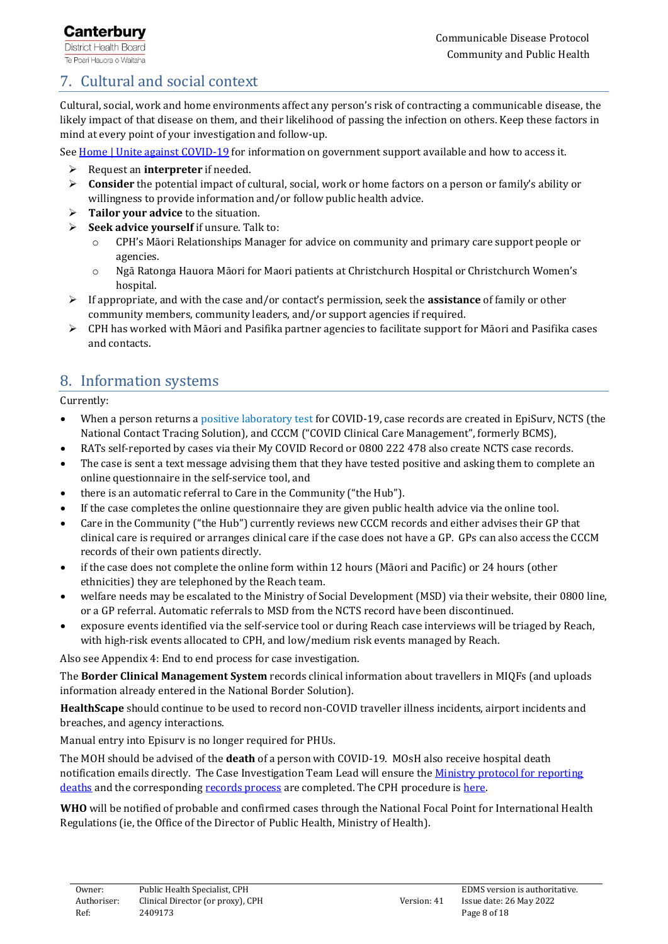# <span id="page-7-0"></span>7. Cultural and social context

Cultural, social, work and home environments affect any person's risk of contracting a communicable disease, the likely impact of that disease on them, and their likelihood of passing the infection on others. Keep these factors in mind at every point of your investigation and follow-up.

See [Home | Unite against](https://covid19.govt.nz/) COVID-19 for information on government support available and how to access it.

- ➢ Request an **interpreter** if needed.
- ➢ **Consider** the potential impact of cultural, social, work or home factors on a person or family's ability or willingness to provide information and/or follow public health advice.
- ➢ **Tailor your advice** to the situation.
- ➢ **Seek advice yourself** if unsure. Talk to:
	- o CPH's Māori Relationships Manager for advice on community and primary care support people or agencies.
	- o Ngā Ratonga Hauora Māori for Maori patients at Christchurch Hospital or Christchurch Women's hospital.
- ➢ If appropriate, and with the case and/or contact's permission, seek the **assistance** of family or other community members, community leaders, and/or support agencies if required.
- ➢ CPH has worked with Māori and Pasifika partner agencies to facilitate support for Māori and Pasifika cases and contacts.

# <span id="page-7-1"></span>8. Information systems

Currently:

- When a person returns a positive laboratory test for COVID-19, case records are created in EpiSurv, NCTS (the National Contact Tracing Solution), and CCCM ("COVID Clinical Care Management", formerly BCMS),
- RATs self-reported by cases via their My COVID Record or 0800 222 478 also create NCTS case records.
- The case is sent a text message advising them that they have tested positive and asking them to complete an online questionnaire in the self-service tool, and
- there is an automatic referral to Care in the Community ("the Hub").
- If the case completes the online questionnaire they are given public health advice via the online tool.
- Care in the Community ("the Hub") currently reviews new CCCM records and either advises their GP that clinical care is required or arranges clinical care if the case does not have a GP. GPs can also access the CCCM records of their own patients directly.
- if the case does not complete the online form within 12 hours (Māori and Pacific) or 24 hours (other ethnicities) they are telephoned by the Reach team.
- welfare needs may be escalated to the Ministry of Social Development (MSD) via their website, their 0800 line, or a GP referral. Automatic referrals to MSD from the NCTS record have been discontinued.
- exposure events identified via the self-service tool or during Reach case interviews will be triaged by Reach, with high-risk events allocated to CPH, and low/medium risk events managed by Reach.

Also see Appendix 4: End to end process for case investigation.

The **Border Clinical Management System** records clinical information about travellers in MIQFs (and uploads information already entered in the National Border Solution).

**HealthScape** should continue to be used to record non-COVID traveller illness incidents, airport incidents and breaches, and agency interactions.

Manual entry into Episurv is no longer required for PHUs.

The MOH should be advised of the **death** of a person with COVID-19. MOsH also receive hospital death notification emails directly. The Case Investigation Team Lead will ensure the [Ministry protocol for reporting](https://cdhbintranet.cdhb.health.nz/communitypublichealth/cphpoliciesandprocedures/Documents/MoHSOP302ReportingCOVID19DeathsProtocol220331.pdf)  [deaths](https://cdhbintranet.cdhb.health.nz/communitypublichealth/cphpoliciesandprocedures/Documents/MoHSOP302ReportingCOVID19DeathsProtocol220331.pdf) and the correspondin[g records process](https://cdhbintranet.cdhb.health.nz/communitypublichealth/cphpoliciesandprocedures/Documents/MoHPHUProcessWhenDeceasedCaseIsIdentified220503.pdf) are completed. The CPH procedure is here.

**WHO** will be notified of probable and confirmed cases through the National Focal Point for International Health Regulations (ie, the Office of the Director of Public Health, Ministry of Health).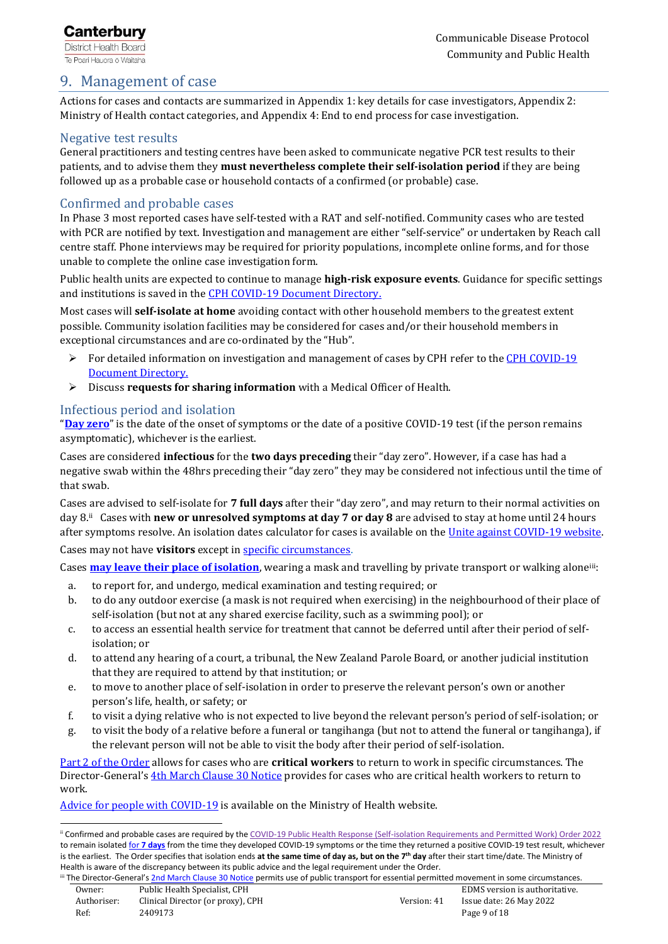## <span id="page-8-0"></span>9. Management of case

Actions for cases and contacts are summarized in Appendix 1: key details for case investigators, Appendix 2: Ministry of Health contact categories, and Appendix 4: End to end process for case investigation.

## Negative test results

General practitioners and testing centres have been asked to communicate negative PCR test results to their patients, and to advise them they **must nevertheless complete their self-isolation period** if they are being followed up as a probable case or household contacts of a confirmed (or probable) case.

## Confirmed and probable cases

In Phase 3 most reported cases have self-tested with a RAT and self-notified. Community cases who are tested with PCR are notified by text. Investigation and management are either "self-service" or undertaken by Reach call centre staff. Phone interviews may be required for priority populations, incomplete online forms, and for those unable to complete the online case investigation form.

Public health units are expected to continue to manage **high-risk exposure events**. Guidance for specific settings and institutions is saved in the [CPH COVID-19 Document Directory.](https://cdhbintranet.cdhb.health.nz/communitypublichealth/cphpoliciesandprocedures/SitePages/SettingsAndInstitutions.aspx)

Most cases will **self-isolate at home** avoiding contact with other household members to the greatest extent possible. Community isolation facilities may be considered for cases and/or their household members in exceptional circumstances and are co-ordinated by the "Hub".

- $\triangleright$  For detailed information on investigation and management of cases by CPH refer to the CPH COVID-19 [Document Directory.](https://cdhbintranet.cdhb.health.nz/communitypublichealth/cphpoliciesandprocedures/SitePages/Case-and-Contact-Management.aspx)
- ➢ Discuss **requests for sharing information** with a Medical Officer of Health.

## <span id="page-8-1"></span>Infectious period and isolation

 $\overline{a}$ 

"**[Day zero](https://www.health.govt.nz/covid-19-novel-coronavirus/covid-19-health-advice-public/advice-people-covid-19/covid-19-isolating-others)**" is the date of the onset of symptoms or the date of a positive COVID-19 test (if the person remains asymptomatic), whichever is the earliest.

Cases are considered **infectious** for the **two days preceding** their "day zero". However, if a case has had a negative swab within the 48hrs preceding their "day zero" they may be considered not infectious until the time of that swab.

Cases are advised to self-isolate for **7 full days** after their "day zero", and may return to their normal activities on day 8.ii Cases with **new or unresolved symptoms at day 7 or day 8** are advised to stay at home until 24 hours after symptoms resolve. An isolation dates calculator for cases is available on the Unite against COVID-19 website.

Cases may not have **visitors** except in [specific circumstances.](https://www.legislation.govt.nz/regulation/public/2022/0046/latest/LMS647731.html)

Cases **[may leave their place of isolation](https://www.legislation.govt.nz/regulation/public/2022/0046/latest/LMS647736.html#LMS647736)**, wearing a mask and travelling by private transport or walking alone<sup>iii</sup>:

- a. to report for, and undergo, medical examination and testing required; or
- b. to do any outdoor exercise (a mask is not required when exercising) in the neighbourhood of their place of self-isolation (but not at any shared exercise facility, such as a swimming pool); or
- c. to access an essential health service for treatment that cannot be deferred until after their period of selfisolation; or
- d. to attend any hearing of a court, a tribunal, the New Zealand Parole Board, or another judicial institution that they are required to attend by that institution; or
- e. to move to another place of self-isolation in order to preserve the relevant person's own or another person's life, health, or safety; or
- f. to visit a dying relative who is not expected to live beyond the relevant person's period of self-isolation; or
- g. to visit the body of a relative before a funeral or tangihanga (but not to attend the funeral or tangihanga), if the relevant person will not be able to visit the body after their period of self-isolation.

[Part 2 of the Order](https://www.legislation.govt.nz/regulation/public/2022/0046/latest/LMS647772.html) allows for cases who are **critical workers** to return to work in specific circumstances. The Director-General's [4th March Clause 30 Notice](https://www.health.govt.nz/system/files/documents/pages/spw_dg_notice_critical_health_workers_who_are_covid-19_cases_fr_4_march_22_v3.pdf) provides for cases who are critical health workers to return to work.

[Advice for people with COVID-19](https://www.health.govt.nz/covid-19-novel-coronavirus/covid-19-health-advice-public/advice-people-covid-19) is available on the Ministry of Health website.

Ref: 2409173 Page 9 of 18

ii Confirmed and probable cases are required by th[e COVID-19 Public Health Response \(Self-isolation Requirements and Permitted Work\) Order 2022](https://www.legislation.govt.nz/regulation/public/2022/0046/latest/LMS647648.html)  to remain isolated for **7 [days](https://www.legislation.govt.nz/regulation/public/2022/0046/latest/link.aspx?id=LMS647794)** from the time they developed COVID-19 symptoms or the time they returned a positive COVID-19 test result, whichever is the earliest. The Order specifies that isolation ends **at the same time of day as, but on the 7th day** after their start time/date. The Ministry of Health is aware of the discrepancy between its public advice and the legal requirement under the Order.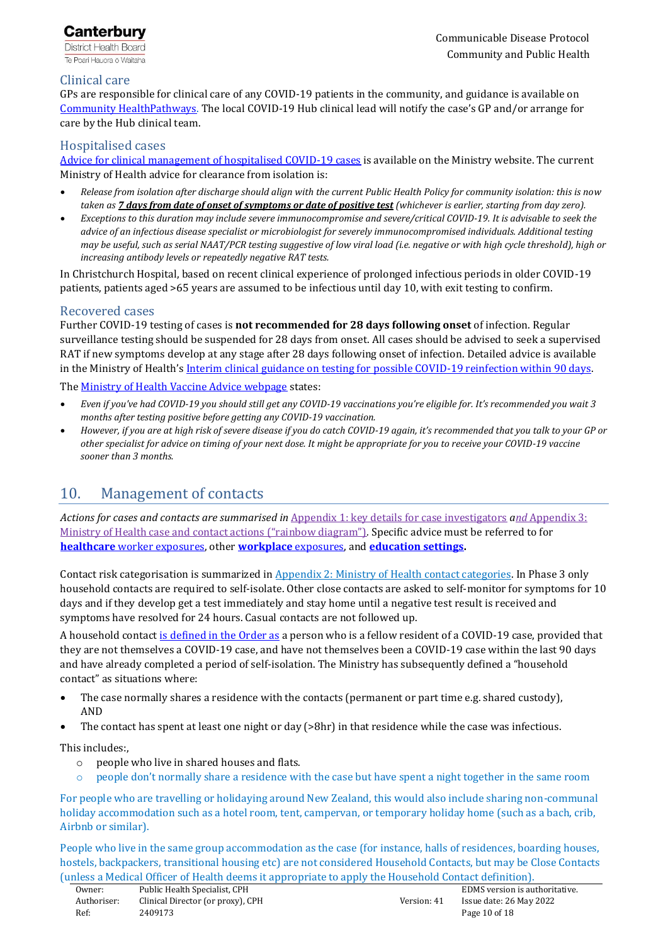

## Clinical care

GPs are responsible for clinical care of any COVID-19 patients in the community, and guidance is available on [Community HealthPathways.](http://cdhb.healthpathways.org.nz/) The local COVID-19 Hub clinical lead will notify the case's GP and/or arrange for care by the Hub clinical team.

#### Hospitalised cases

[Advice for clinical management of hospitalised COVID-19 cases](https://www.health.govt.nz/our-work/diseases-and-conditions/covid-19-novel-coronavirus/covid-19-information-health-professionals/covid-19-advice-all-health-professionals#adult-management) is available on the Ministry website. The current Ministry of Health advice for clearance from isolation is:

- *Release from isolation after discharge should align with the current Public Health Policy for community isolation: this is now taken as [7 days from date of onset of symptoms or date of positive test](https://covid19.govt.nz/isolation-and-care/if-you-have-covid-19/) (whichever is earlier, starting from day zero).*
- *Exceptions to this duration may include severe immunocompromise and severe/critical COVID-19. It is advisable to seek the advice of an infectious disease specialist or microbiologist for severely immunocompromised individuals. Additional testing may be useful, such as serial NAAT/PCR testing suggestive of low viral load (i.e. negative or with high cycle threshold), high or increasing antibody levels or repeatedly negative RAT tests.*

In Christchurch Hospital, based on recent clinical experience of prolonged infectious periods in older COVID-19 patients, patients aged >65 years are assumed to be infectious until day 10, with exit testing to confirm.

#### <span id="page-9-1"></span>Recovered cases

Further COVID-19 testing of cases is **not recommended for 28 days following onset** of infection. Regular surveillance testing should be suspended for 28 days from onset. All cases should be advised to seek a supervised RAT if new symptoms develop at any stage after 28 days following onset of infection. Detailed advice is available in the Ministry of Health's Interim clinical guidance on testing for possible COVID-19 reinfection within 90 days.

Th[e Ministry of Health Vaccine Advice webpage](https://www.health.govt.nz/covid-19-novel-coronavirus/covid-19-vaccines/covid-19-vaccine-advice-different-health-circumstances#:~:text=You%20should%20have%20the%20COVID,recover%20before%20getting%20the%20vaccine.&text=If%20you%27re%20taking%20antibiotics,significantly%20unwell%20from%20your%20infection) states:

- *Even if you've had COVID-19 you should still get any COVID-19 vaccinations you're eligible for. It's recommended you wait 3 months after testing positive before getting any COVID-19 vaccination.*
- *However, if you are at high risk of severe disease if you do catch COVID-19 again, it's recommended that you talk to your GP or other specialist for advice on timing of your next dose. It might be appropriate for you to receive your COVID-19 vaccine sooner than 3 months.*

# <span id="page-9-0"></span>10. Management of contacts

*Actions for cases and contacts are summarised in* [Appendix 1: key details for case investigators](#page-13-0) *and* [Appendix 3:](#page-15-0)  [Ministry of Health case and contact actions \("rainbow diagram"\)](#page-15-0)*.* Specific advice must be referred to for **healthcare** [worker exposures,](https://cdhbintranet.cdhb.health.nz/communitypublichealth/cphpoliciesandprocedures/SitePages/SettingsAndInstitutions.aspx) other **[workplace](https://cdhbintranet.cdhb.health.nz/communitypublichealth/cphpoliciesandprocedures/SitePages/SettingsAndInstitutions.aspx)** exposures, and **[education settings.](https://cdhbintranet.cdhb.health.nz/communitypublichealth/cphpoliciesandprocedures/SitePages/SettingsAndInstitutions.aspx)**

Contact risk categorisation is summarized i[n Appendix 2: Ministry of Health contact categories.](#page-14-0) In Phase 3 only household contacts are required to self-isolate. Other close contacts are asked to self-monitor for symptoms for 10 days and if they develop get a test immediately and stay home until a negative test result is received and symptoms have resolved for 24 hours. Casual contacts are not followed up.

A household contac[t is defined in the Order as](https://www.legislation.govt.nz/regulation/public/2022/0046/latest/LMS647915.html#LMS647907) a person who is a fellow resident of a COVID-19 case, provided that they are not themselves a COVID-19 case, and have not themselves been a COVID-19 case within the last 90 days and have already completed a period of self-isolation. The Ministry has subsequently defined a "household contact" as situations where:

- The case normally shares a residence with the contacts (permanent or part time e.g. shared custody), AND
- The contact has spent at least one night or day (>8hr) in that residence while the case was infectious.

This includes:,

- o people who live in shared houses and flats.
- people don't normally share a residence with the case but have spent a night together in the same room

For people who are travelling or holidaying around New Zealand, this would also include sharing non-communal holiday accommodation such as a hotel room, tent, campervan, or temporary holiday home (such as a bach, crib, Airbnb or similar).

People who live in the same group accommodation as the case (for instance, halls of residences, boarding houses, hostels, backpackers, transitional housing etc) are not considered Household Contacts, but may be Close Contacts (unless a Medical Officer of Health deems it appropriate to apply the Household Contact definition).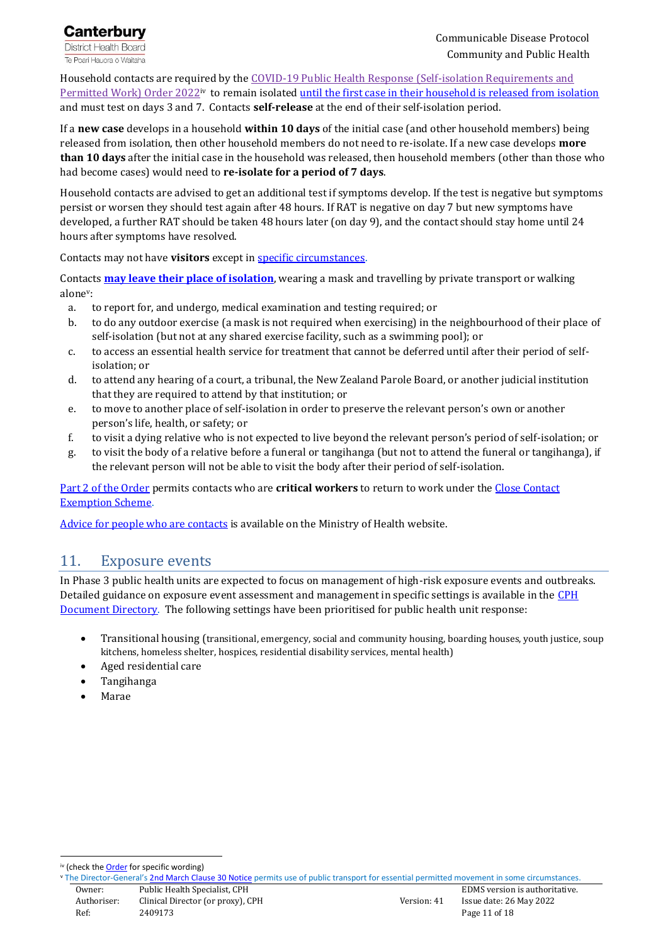

Household contacts are required by the [COVID-19 Public Health Response \(Self-isolation](https://www.legislation.govt.nz/regulation/public/2022/0046/latest/LMS647648.html) Requirements and <u>[Permitted Work\) Order 2022](https://www.legislation.govt.nz/regulation/public/2022/0046/latest/LMS647648.html)iv</u> to remain isolated <u>until the first case in their household is released from isolation</u> and must test on days 3 and 7. Contacts **self-release** at the end of their self-isolation period.

If a **new case** develops in a household **within 10 days** of the initial case (and other household members) being released from isolation, then other household members do not need to re-isolate. If a new case develops **more than 10 days** after the initial case in the household was released, then household members (other than those who had become cases) would need to **re-isolate for a period of 7 days**.

Household contacts are advised to get an additional test if symptoms develop. If the test is negative but symptoms persist or worsen they should test again after 48 hours. If RAT is negative on day 7 but new symptoms have developed, a further RAT should be taken 48 hours later (on day 9), and the contact should stay home until 24 hours after symptoms have resolved.

Contacts may not have **visitors** except in [specific circumstances.](https://www.legislation.govt.nz/regulation/public/2022/0046/latest/LMS647731.html)

Contacts **[may leave their place of isolation](https://www.legislation.govt.nz/regulation/public/2022/0046/latest/LMS647736.html#LMS647736)**, wearing a mask and travelling by private transport or walking alone<sup>v</sup> :

- a. to report for, and undergo, medical examination and testing required; or
- b. to do any outdoor exercise (a mask is not required when exercising) in the neighbourhood of their place of self-isolation (but not at any shared exercise facility, such as a swimming pool); or
- c. to access an essential health service for treatment that cannot be deferred until after their period of selfisolation; or
- d. to attend any hearing of a court, a tribunal, the New Zealand Parole Board, or another judicial institution that they are required to attend by that institution; or
- e. to move to another place of self-isolation in order to preserve the relevant person's own or another person's life, health, or safety; or
- f. to visit a dying relative who is not expected to live beyond the relevant person's period of self-isolation; or
- g. to visit the body of a relative before a funeral or tangihanga (but not to attend the funeral or tangihanga), if the relevant person will not be able to visit the body after their period of self-isolation.

[Part 2 of the Order](https://www.legislation.govt.nz/regulation/public/2022/0046/latest/LMS647772.html) permits contacts who are **critical workers** to return to work under th[e Close Contact](https://covid19.govt.nz/testing-and-tracing/contact-tracing/critical-workers/#close-contact-exemption-scheme)  [Exemption Scheme.](https://covid19.govt.nz/testing-and-tracing/contact-tracing/critical-workers/#close-contact-exemption-scheme)

<span id="page-10-0"></span>[Advice for people who are contacts](https://www.health.govt.nz/covid-19-novel-coronavirus/covid-19-health-advice-public/covid-19-information-household-and-close-contacts) is available on the Ministry of Health website.

## 11. Exposure events

In Phase 3 public health units are expected to focus on management of high-risk exposure events and outbreaks. Detailed guidance on exposure event assessment and management in specific settings is available in the [CPH](https://cdhbintranet.cdhb.health.nz/communitypublichealth/cphpoliciesandprocedures/SitePages/SettingsAndInstitutions.aspx)  [Document Directory.](https://cdhbintranet.cdhb.health.nz/communitypublichealth/cphpoliciesandprocedures/SitePages/SettingsAndInstitutions.aspx) The following settings have been prioritised for public health unit response:

- Transitional housing (transitional, emergency, social and community housing, boarding houses, youth justice, soup kitchens, homeless shelter, hospices, residential disability services, mental health)
- Aged residential care
- Tangihanga
- Marae

iv (check the **Order** for specific wording)

 $\overline{a}$ 

Owner: Public Health Specialist, CPH entity and the settlement of the Specialist, CPH entity and the Specialist, CPH Authoriser: Clinical Director (or proxy), CPH Version: 41 Issue date: 26 May 2022 <sup>v</sup> The Director-General's [2nd March Clause 30 Notice](https://www.health.govt.nz/system/files/documents/pages/s30_spw_dg_notice_-_other_permitted_means_of_travel_for_essential_permitted_movements.pdf) permits use of public transport for essential permitted movement in some circumstances.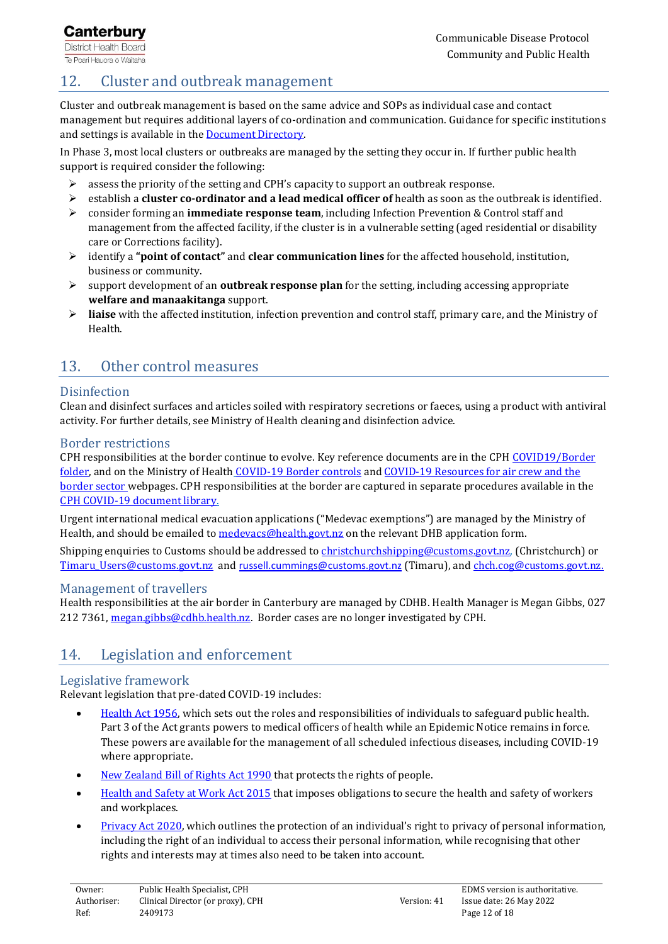# <span id="page-11-0"></span>12. Cluster and outbreak management

Cluster and outbreak management is based on the same advice and SOPs as individual case and contact management but requires additional layers of co-ordination and communication. Guidance for specific institutions and settings is available in the [Document Directory.](https://cdhbintranet.cdhb.health.nz/communitypublichealth/cphpoliciesandprocedures/SitePages/SettingsAndInstitutions.aspx)

In Phase 3, most local clusters or outbreaks are managed by the setting they occur in. If further public health support is required consider the following:

- ➢ assess the priority of the setting and CPH's capacity to support an outbreak response.
- ➢ establish a **cluster co-ordinator and a lead medical officer of** health as soon as the outbreak is identified.
- ➢ consider forming an **immediate response team**, including Infection Prevention & Control staff and management from the affected facility, if the cluster is in a vulnerable setting (aged residential or disability care or Corrections facility).
- ➢ identify a **"point of contact"** and **clear communication lines** for the affected household, institution, business or community.
- ➢ support development of an **outbreak response plan** for the setting, including accessing appropriate **welfare and manaakitanga** support.
- ➢ **liaise** with the affected institution, infection prevention and control staff, primary care, and the Ministry of Health.

# <span id="page-11-1"></span>13. Other control measures

## **Disinfection**

Clean and disinfect surfaces and articles soiled with respiratory secretions or faeces, using a product with antiviral activity. For further details, see Ministry of Health cleaning and disinfection advice.

## Border restrictions

CPH responsibilities at the border continue to evolve. Key reference documents are in the CPH COVID19/Border [folder,](file://///cdhb.local/DFSGeneral/CHC03DataLink/Division/CPH/CFS/COVID19/Border) and on the Ministry of Health [COVID-19 Border controls](https://www.health.govt.nz/our-work/diseases-and-conditions/covid-19-novel-coronavirus/covid-19-current-situation/covid-19-border-controls) and COVID-19 Resources for air crew and the [border sector](https://www.health.govt.nz/our-work/diseases-and-conditions/covid-19-novel-coronavirus/covid-19-information-specific-audiences/covid-19-resources-air-crew-and-border-sector) webpages. CPH responsibilities at the border are captured in separate procedures available in the [CPH COVID-19 document library.](https://cdhbintranet.cdhb.health.nz/communitypublichealth/cphpoliciesandprocedures/SitePages/COVID19-Border.aspx)

Urgent international medical evacuation applications ("Medevac exemptions") are managed by the Ministry of Health, and should be emailed to [medevacs@health.govt.nz](mailto:medevacs@health.govt.nz) on the relevant DHB application form.

Shipping enquiries to Customs should be addressed to *christchurchshipping@customs.govt.nz*, (Christchurch) or [Timaru\\_Users@customs.govt.nz](mailto:Timaru_Users@customs.govt.nz) and [russell.cummings@customs.govt.nz](mailto:russell.cummings@customs.govt.nz) (Timaru), and [chch.cog@customs.govt.nz.](mailto:chch.cog@customs.govt.nz)

#### Management of travellers

Health responsibilities at the air border in Canterbury are managed by CDHB. Health Manager is Megan Gibbs, 027 212 7361, [megan.gibbs@cdhb.health.nz.](mailto:megan.gibbs@cdhb.health.nz) Border cases are no longer investigated by CPH.

# <span id="page-11-2"></span>14. Legislation and enforcement

## Legislative framework

Relevant legislation that pre-dated COVID-19 includes:

- [Health Act 1956,](http://www.legislation.govt.nz/act/public/1956/0065/latest/DLM305840.html?src=qs) which sets out the roles and responsibilities of individuals to safeguard public health. Part 3 of the Act grants powers to medical officers of health while an Epidemic Notice remains in force. These powers are available for the management of all scheduled infectious diseases, including COVID-19 where appropriate.
- [New Zealand Bill of Rights Act 1990](https://www.legislation.govt.nz/act/public/1990/0109/latest/DLM224792.html) that protects the rights of people.
- [Health and Safety at Work Act 2015](https://www.legislation.govt.nz/act/public/2015/0070/latest/DLM5976660.html) that imposes obligations to secure the health and safety of workers and workplaces.
- [Privacy Act 2020,](https://www.legislation.govt.nz/act/public/2020/0031/latest/LMS23223.html) which outlines the protection of an individual's right to privacy of personal information, including the right of an individual to access their personal information, while recognising that other rights and interests may at times also need to be taken into account.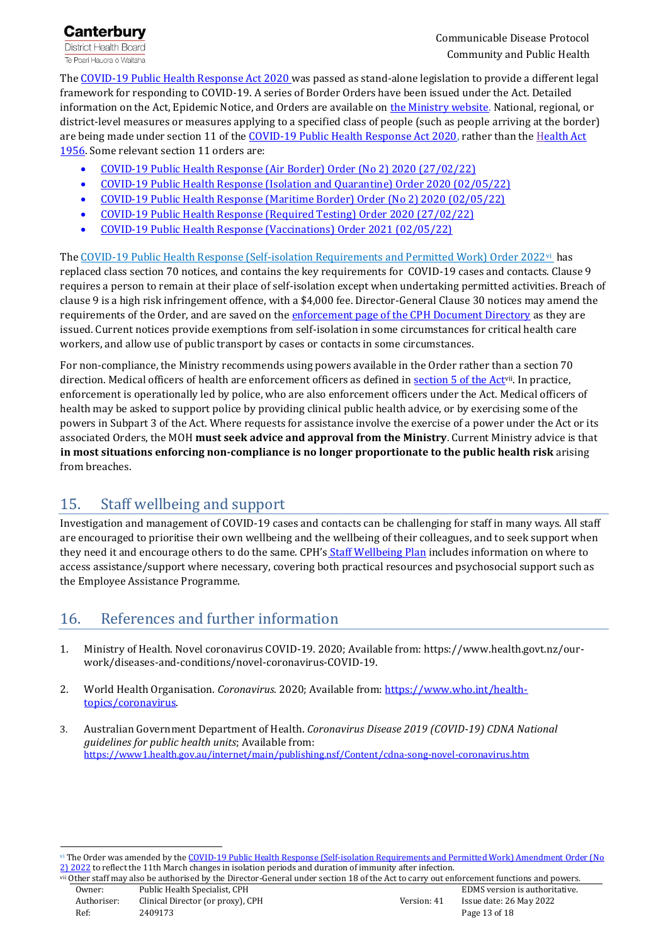**Canterbury District Health Board** Te Poari Hauora o Waitaha

Th[e COVID-19 Public Health Response Act 2020](https://www.legislation.govt.nz/act/public/2020/0012/latest/LMS344134.html) was passed as stand-alone legislation to provide a different legal framework for responding to COVID-19. A series of Border Orders have been issued under the Act. Detailed information on the Act, Epidemic Notice, and Orders are available on [the Ministry website.](https://www.health.govt.nz/our-work/diseases-and-conditions/covid-19-novel-coronavirus/covid-19-response-planning/covid-19-epidemic-notice-and-orders) National, regional, or district-level measures or measures applying to a specified class of people (such as people arriving at the border) are being made under section 11 of the [COVID-19 Public Health Response Act 2020,](https://www.legislation.govt.nz/all/results.aspx?search=ts_act%40bill%40regulation%40deemedreg_COVID-19+Public+Health+Response+_resel_25_a&p=1) rather than the Health Act [1956.](http://www.legislation.govt.nz/act/public/1956/0065/latest/whole.html) Some relevant section 11 orders are:

- [COVID-19 Public Health Response \(Air Border\) Order \(No 2\) 2020](https://www.legislation.govt.nz/regulation/public/2020/0239/latest/LMS403346.html?search=ts_act%40bill%40regulation%40deemedreg_COVID-19+Public+Health+Response+_resel_25_a&p=1) (27/02/22)
- [COVID-19 Public Health Response \(Isolation and Quarantine\) Order 2020](https://www.legislation.govt.nz/regulation/public/2020/0241/latest/LMS401667.html?search=ts_act%40bill%40regulation%40deemedreg_COVID-19+Public+Health+Response+_resel_25_a&p=1) (02/05/22)
- [COVID-19 Public Health Response \(Maritime Border\) Order \(No 2\) 2020 \(02/05/22\)](https://www.legislation.govt.nz/regulation/public/2020/0240/latest/LMS403466.html?search=ts_act%40bill%40regulation%40deemedreg_COVID-19+Public+Health+Response+_resel_25_a&p=1)
- [COVID-19 Public Health Response \(Required Testing\) Order 2020 \(27/02/22\)](https://www.legislation.govt.nz/regulation/public/2020/0230/latest/LMS400302.html?search=ts_act%40bill%40regulation%40deemedreg_COVID-19+Public+Health+Response+_resel_25_a&p=1)
- [COVID-19 Public Health Response \(Vaccinations\) Order 2021](https://www.legislation.govt.nz/regulation/public/2021/0094/latest/LMS487853.html) (02/05/22)

Th[e COVID-19 Public Health Response \(Self-isolation Requirements and Permitted Work\) Order 2022](https://www.legislation.govt.nz/regulation/public/2022/0046/latest/LMS647648.html)vi has replaced class section 70 notices, and contains the key requirements for COVID-19 cases and contacts. Clause 9 requires a person to remain at their place of self-isolation except when undertaking permitted activities. Breach of clause 9 is a high risk infringement offence, with a \$4,000 fee. Director-General Clause 30 notices may amend the requirements of the Order, and are saved on the [enforcement page of the CPH Document Directory](https://cdhbintranet.cdhb.health.nz/communitypublichealth/cphpoliciesandprocedures/SitePages/COVID19-Enforcement.aspx) as they are issued. Current notices provide exemptions from self-isolation in some circumstances for critical health care workers, and allow use of public transport by cases or contacts in some circumstances.

For non-compliance, the Ministry recommends using powers available in the Order rather than a section 70 direction. Medical officers of health are enforcement officers as defined in [section 5 of the Act](https://www.legislation.govt.nz/act/public/2020/0012/latest/LMS344170.html?search=ts_act%40bill%40regulation%40deemedreg_COVID-19+Public+Health+Response+_resel_25_a&p=1)<sup>vii</sup>. In practice, enforcement is operationally led by police, who are also enforcement officers under the Act. Medical officers of health may be asked to support police by providing clinical public health advice, or by exercising some of the powers in Subpart 3 of the Act. Where requests for assistance involve the exercise of a power under the Act or its associated Orders, the MOH **must seek advice and approval from the Ministry**. Current Ministry advice is that **in most situations enforcing non-compliance is no longer proportionate to the public health risk** arising from breaches.

# <span id="page-12-0"></span>15. Staff wellbeing and support

Investigation and management of COVID-19 cases and contacts can be challenging for staff in many ways. All staff are encouraged to prioritise their own wellbeing and the wellbeing of their colleagues, and to seek support when they need it and encourage others to do the same. CPH's [Staff Wellbeing Plan](https://cdhbintranet.cdhb.health.nz/communitypublichealth/cphpoliciesandprocedures/Documents/COVID19%20CPH%20Staff%20Wellbeing%20Plan.aspx) includes information on where to access assistance/support where necessary, covering both practical resources and psychosocial support such as the Employee Assistance Programme.

# <span id="page-12-1"></span>16. References and further information

- 1. Ministry of Health. Novel coronavirus COVID-19. 2020; Available from: [https://www.health.govt.nz/our](https://www.health.govt.nz/our-work/diseases-and-conditions/novel-coronavirus-2019-ncov)[work/diseases-and-conditions/novel-coronavirus-COVID-19.](https://www.health.govt.nz/our-work/diseases-and-conditions/novel-coronavirus-2019-ncov)
- 2. World Health Organisation. *Coronavirus*. 2020; Available from[: https://www.who.int/health](https://www.who.int/health-topics/coronavirus)[topics/coronavirus.](https://www.who.int/health-topics/coronavirus)
- 3. Australian Government Department of Health. *Coronavirus Disease 2019 (COVID-19) CDNA National guidelines for public health units*; Available from: <https://www1.health.gov.au/internet/main/publishing.nsf/Content/cdna-song-novel-coronavirus.htm>

 $\overline{a}$ 

vi The Order was amended by the COVID-19 Public Health Response (Self-isolation Requirements and Permitted Work) Amendment Order (No [2\) 2022](https://www.health.govt.nz/system/files/documents/pages/covid-19-public-health-response-self-isolation-requirements-and-permitted-work-amendment-order-no-2-2022.pdf) to reflect the 11th March changes in isolation periods and duration of immunity after infection.

Owner: Public Health Specialist, CPH entity of the Specialist CPH entity of the Specialist, CPH entity of the Specialist, CPH entity of the Specialist of the Specialist, CPH entity of the Specialist, CPH entity of the Spec Other staff may also be authorised by the Director-General under section 18 of the Act to carry out enforcement functions and powers.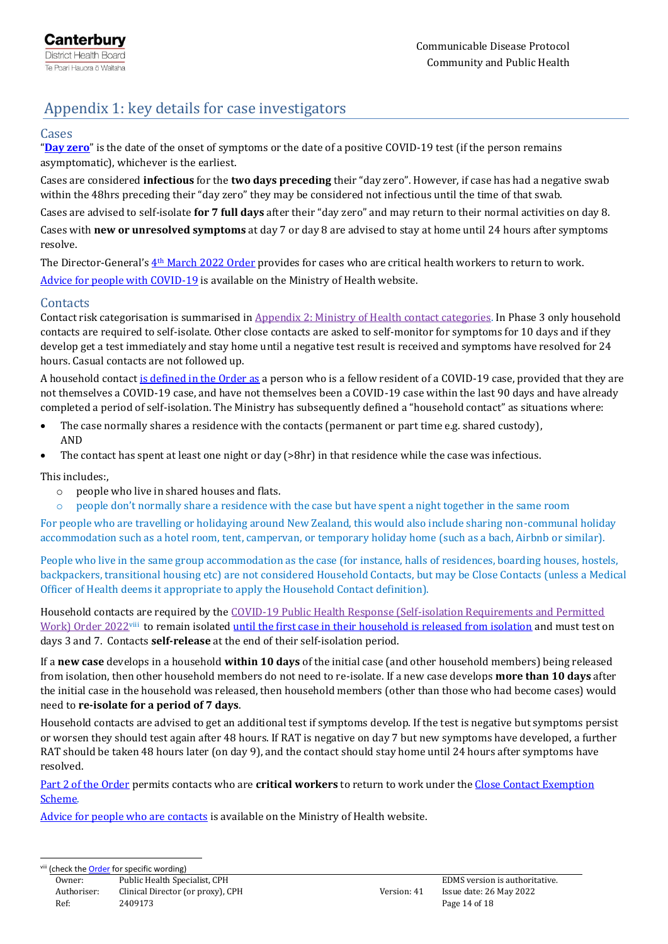# <span id="page-13-0"></span>Appendix 1: key details for case investigators

#### Cases

"**[Day zero](https://www.health.govt.nz/covid-19-novel-coronavirus/covid-19-health-advice-public/advice-people-covid-19#isolating)**" is the date of the onset of symptoms or the date of a positive COVID-19 test (if the person remains asymptomatic), whichever is the earliest.

Cases are considered **infectious** for the **two days preceding** their "day zero". However, if case has had a negative swab within the 48hrs preceding their "day zero" they may be considered not infectious until the time of that swab.

Cases are advised to self-isolate **for 7 full days** after their "day zero" and may return to their normal activities on day 8. Cases with **new or unresolved symptoms** at day 7 or day 8 are advised to stay at home until 24 hours after symptoms resolve.

The Director-General's  $4th$  [March 2022 Order](https://www.health.govt.nz/system/files/documents/pages/spw_dg_notice_critical_health_workers_who_are_covid-19_cases_fr_4_march_22_v3.pdf) provides for cases who are critical health workers to return to work. [Advice for people with COVID-19](https://www.health.govt.nz/covid-19-novel-coronavirus/covid-19-health-advice-public/advice-people-covid-19) is available on the Ministry of Health website.

## **Contacts**

Contact risk categorisation is summarised i[n Appendix 2: Ministry of Health contact categories.](#page-14-0) In Phase 3 only household contacts are required to self-isolate. Other close contacts are asked to self-monitor for symptoms for 10 days and if they develop get a test immediately and stay home until a negative test result is received and symptoms have resolved for 24 hours. Casual contacts are not followed up.

A household contact [is defined in the Order as](https://www.legislation.govt.nz/regulation/public/2022/0046/latest/LMS647915.html#LMS647907) a person who is a fellow resident of a COVID-19 case, provided that they are not themselves a COVID-19 case, and have not themselves been a COVID-19 case within the last 90 days and have already completed a period of self-isolation. The Ministry has subsequently defined a "household contact" as situations where:

- The case normally shares a residence with the contacts (permanent or part time e.g. shared custody), AND
- The contact has spent at least one night or day (>8hr) in that residence while the case was infectious.

This includes:,

- o people who live in shared houses and flats.
- o people don't normally share a residence with the case but have spent a night together in the same room

For people who are travelling or holidaying around New Zealand, this would also include sharing non-communal holiday accommodation such as a hotel room, tent, campervan, or temporary holiday home (such as a bach, Airbnb or similar).

People who live in the same group accommodation as the case (for instance, halls of residences, boarding houses, hostels, backpackers, transitional housing etc) are not considered Household Contacts, but may be Close Contacts (unless a Medical Officer of Health deems it appropriate to apply the Household Contact definition).

Household contacts are required by th[e COVID-19 Public Health Response \(Self-isolation Requirements and Permitted](https://www.legislation.govt.nz/regulation/public/2022/0046/latest/LMS647648.html)  [Work\) Order 2022](https://www.legislation.govt.nz/regulation/public/2022/0046/latest/LMS647648.html)<sup>viii</sup> to remain isolated <u>until the first case in their household is released from isolation</u> and must test on days 3 and 7. Contacts **self-release** at the end of their self-isolation period.

If a **new case** develops in a household **within 10 days** of the initial case (and other household members) being released from isolation, then other household members do not need to re-isolate. If a new case develops **more than 10 days** after the initial case in the household was released, then household members (other than those who had become cases) would need to **re-isolate for a period of 7 days**.

Household contacts are advised to get an additional test if symptoms develop. If the test is negative but symptoms persist or worsen they should test again after 48 hours. If RAT is negative on day 7 but new symptoms have developed, a further RAT should be taken 48 hours later (on day 9), and the contact should stay home until 24 hours after symptoms have resolved.

[Part 2 of the Order](https://www.legislation.govt.nz/regulation/public/2022/0046/latest/LMS647772.html) permits contacts who are **critical workers** to return to work under the [Close Contact Exemption](https://covid19.govt.nz/testing-and-tracing/contact-tracing/critical-workers/#close-contact-exemption-scheme)  [Scheme.](https://covid19.govt.nz/testing-and-tracing/contact-tracing/critical-workers/#close-contact-exemption-scheme)

[Advice for people who are contacts](https://www.health.govt.nz/covid-19-novel-coronavirus/covid-19-health-advice-public/covid-19-information-household-and-close-contacts) is available on the Ministry of Health website.

**-**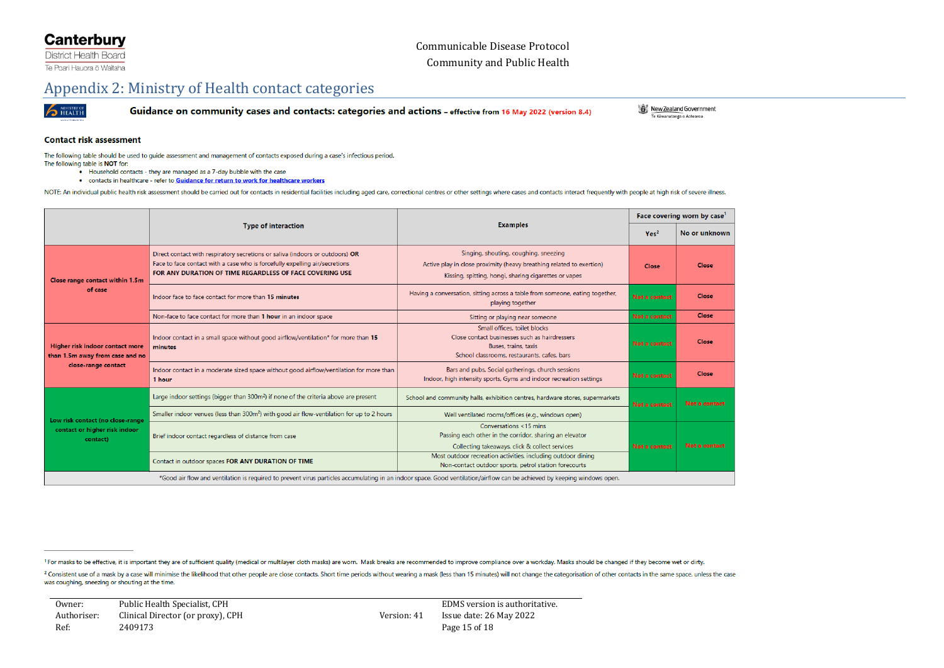## **Canterbury**

**District Health Board** Te Poari Hauora o Waitaha

## Appendix 2: Ministry of Health contact categories



Guidance on community cases and contacts: categories and actions - effective from 16 May 2022 (version 8.4)

New Zealand Government Te Käwanatanga o Aotearoa

#### **Contact risk assessment**

The following table should be used to guide assessment and management of contacts exposed during a case's infectious period.

- The following table is NOT for:
	- Household contacts they are managed as a 7-day bubble with the case . contacts in healthcare - refer to Guidance for return to work for healthcare workers

NOTE: An individual public health risk assessment should be carried out for contacts in residential facilities including aged care, correctional centres or other settings where cases and contacts interact frequently with p

<span id="page-14-0"></span>

|                                                                                                                                                                          |                                                                                                                                                                                                                          |                                                                                                                                                                        |                  | Face covering worn by case' |  |  |
|--------------------------------------------------------------------------------------------------------------------------------------------------------------------------|--------------------------------------------------------------------------------------------------------------------------------------------------------------------------------------------------------------------------|------------------------------------------------------------------------------------------------------------------------------------------------------------------------|------------------|-----------------------------|--|--|
|                                                                                                                                                                          | <b>Examples</b><br><b>Type of interaction</b>                                                                                                                                                                            |                                                                                                                                                                        | Yes <sup>2</sup> | No or unknown               |  |  |
| Close range contact within 1.5m                                                                                                                                          | Direct contact with respiratory secretions or saliva (indoors or outdoors) OR<br>Face to face contact with a case who is forcefully expelling air/secretions<br>FOR ANY DURATION OF TIME REGARDLESS OF FACE COVERING USE | Singing, shouting, coughing, sneezing<br>Active play in close proximity (heavy breathing related to exertion)<br>Kissing, spitting, hongi, sharing cigarettes or vapes |                  | Close                       |  |  |
| of case                                                                                                                                                                  | Indoor face to face contact for more than 15 minutes                                                                                                                                                                     | Having a conversation, sitting across a table from someone, eating together,<br><b>Not a contact</b><br>playing together                                               |                  | Close                       |  |  |
|                                                                                                                                                                          | Non-face to face contact for more than 1 hour in an indoor space                                                                                                                                                         | Sitting or playing near someone                                                                                                                                        |                  | Close                       |  |  |
| Higher risk indoor contact more<br>than 1.5m away from case and no                                                                                                       | Indoor contact in a small space without good airflow/ventilation* for more than 15<br>minutes                                                                                                                            | Small offices, toilet blocks<br>Close contact businesses such as hairdressers<br>Buses, trains, taxis<br>School classrooms, restaurants, cafes, bars                   |                  | Close                       |  |  |
| close-range contact                                                                                                                                                      | Indoor contact in a moderate sized space without good airflow/ventilation for more than<br>1 hour                                                                                                                        | Bars and pubs, Social gatherings, church sessions<br>Indoor, high intensity sports, Gyms and indoor recreation settings                                                | Not a contact    | <b>Close</b>                |  |  |
|                                                                                                                                                                          | Large indoor settings (bigger than 300m <sup>2</sup> ) if none of the criteria above are present                                                                                                                         | School and community halls, exhibition centres, hardware stores, supermarkets                                                                                          |                  | Not a contact               |  |  |
| Low risk contact (no close-range                                                                                                                                         | Smaller indoor venues (less than 300m <sup>2</sup> ) with good air flow-ventilation for up to 2 hours                                                                                                                    | Well ventilated rooms/offices (e.g., windows open)                                                                                                                     |                  |                             |  |  |
| contact or higher risk indoor<br>contact)                                                                                                                                | Brief indoor contact regardless of distance from case                                                                                                                                                                    | Conversations <15 mins<br>Passing each other in the corridor, sharing an elevator<br>Collecting takeaways, click & collect services                                    | Not a contact    | Not a contact               |  |  |
|                                                                                                                                                                          | Contact in outdoor spaces FOR ANY DURATION OF TIME                                                                                                                                                                       | Most outdoor recreation activities, including outdoor dining<br>Non-contact outdoor sports, petrol station forecourts                                                  |                  |                             |  |  |
| *Good air flow and ventilation is required to prevent virus particles accumulating in an indoor space. Good ventilation/airflow can be achieved by keeping windows open. |                                                                                                                                                                                                                          |                                                                                                                                                                        |                  |                             |  |  |

<sup>1</sup> For masks to be effective, it is important they are of sufficient quality (medical or multilayer cloth masks) are worn. Mask breaks are recommended to improve compliance over a workday. Masks should be changed if they

<sup>2</sup> Consistent use of a mask by a case will minimise the likelihood that other people are close contacts. Short time periods without wearing a mask (less than 15 minutes) will not change the categorisation of other contact was coughing, sneezing or shouting at the time.

Owner: Public Health Specialist, CPH EDMS version is authoritative. Authoriser: Clinical Director (or proxy), CPH Version: 41 Issue date: 26 May 2022 Ref: 2409173 Page 15 of 18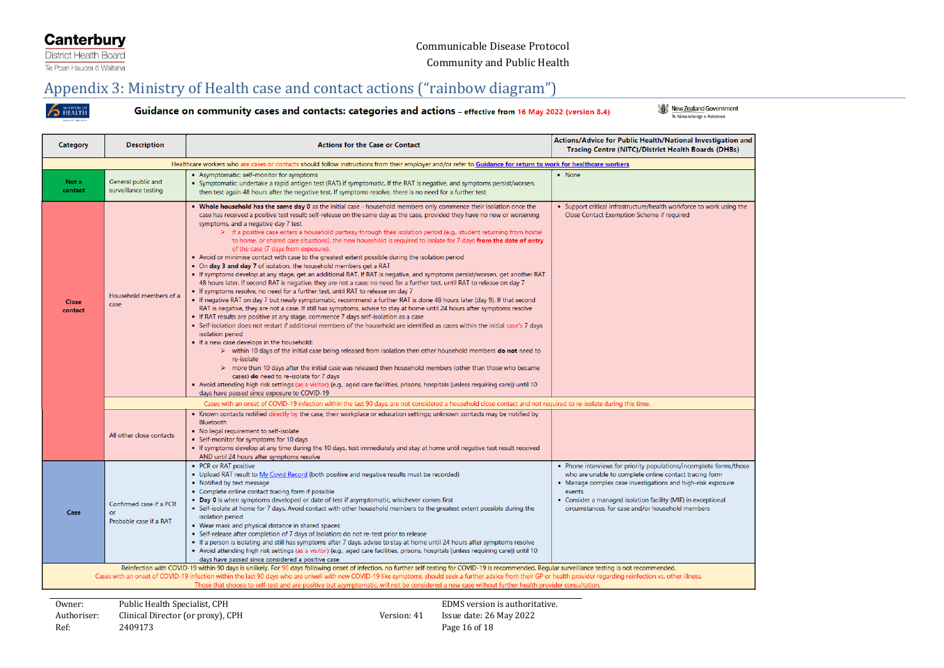## **Canterbury**

District Health Board Te Poari Hauora ō Waitaha

## Appendix 3: Ministry of Health case and contact actions ("rainbow diagram")

**S** HEALTH

Guidance on community cases and contacts: categories and actions - effective from 16 May 2022 (version 8.4)

New Zealand Government

<span id="page-15-0"></span>

| Category                                                                                                                                                                                                                                                                                                                                                                                                                                                                                                                                                                               | <b>Description</b>                                                                                                                                               | <b>Actions for the Case or Contact</b>                                                                                                                                                                                                                                                                                                                                                                                                                                                                                                                                                                                                                                                                                                                                                                                                                                                                                                                                                                                                                                                                                                                                                                                                                                                                                                                                                                                                                                                                                                                                                                                                                                                                                                                                                                                                                                                                                                                                                                                                                                                                                                                                       | Actions/Advice for Public Health/National Investigation and<br>Tracing Centre (NITC)/District Health Boards (DHBs)                                                                                                                                                                                                      |  |  |  |  |  |
|----------------------------------------------------------------------------------------------------------------------------------------------------------------------------------------------------------------------------------------------------------------------------------------------------------------------------------------------------------------------------------------------------------------------------------------------------------------------------------------------------------------------------------------------------------------------------------------|------------------------------------------------------------------------------------------------------------------------------------------------------------------|------------------------------------------------------------------------------------------------------------------------------------------------------------------------------------------------------------------------------------------------------------------------------------------------------------------------------------------------------------------------------------------------------------------------------------------------------------------------------------------------------------------------------------------------------------------------------------------------------------------------------------------------------------------------------------------------------------------------------------------------------------------------------------------------------------------------------------------------------------------------------------------------------------------------------------------------------------------------------------------------------------------------------------------------------------------------------------------------------------------------------------------------------------------------------------------------------------------------------------------------------------------------------------------------------------------------------------------------------------------------------------------------------------------------------------------------------------------------------------------------------------------------------------------------------------------------------------------------------------------------------------------------------------------------------------------------------------------------------------------------------------------------------------------------------------------------------------------------------------------------------------------------------------------------------------------------------------------------------------------------------------------------------------------------------------------------------------------------------------------------------------------------------------------------------|-------------------------------------------------------------------------------------------------------------------------------------------------------------------------------------------------------------------------------------------------------------------------------------------------------------------------|--|--|--|--|--|
| Healthcare workers who are cases or contacts should follow instructions from their employer and/or refer to Guidance for return to work for healthcare workers.                                                                                                                                                                                                                                                                                                                                                                                                                        |                                                                                                                                                                  |                                                                                                                                                                                                                                                                                                                                                                                                                                                                                                                                                                                                                                                                                                                                                                                                                                                                                                                                                                                                                                                                                                                                                                                                                                                                                                                                                                                                                                                                                                                                                                                                                                                                                                                                                                                                                                                                                                                                                                                                                                                                                                                                                                              |                                                                                                                                                                                                                                                                                                                         |  |  |  |  |  |
| Not a<br>contact                                                                                                                                                                                                                                                                                                                                                                                                                                                                                                                                                                       | General public and<br>surveillance testing                                                                                                                       | • Asymptomatic: self-monitor for symptoms<br>• Symptomatic: undertake a rapid antigen test (RAT) if symptomatic. If the RAT is negative, and symptoms persist/worsen,<br>then test again 48 hours after the negative test. If symptoms resolve, there is no need for a further test                                                                                                                                                                                                                                                                                                                                                                                                                                                                                                                                                                                                                                                                                                                                                                                                                                                                                                                                                                                                                                                                                                                                                                                                                                                                                                                                                                                                                                                                                                                                                                                                                                                                                                                                                                                                                                                                                          | • None                                                                                                                                                                                                                                                                                                                  |  |  |  |  |  |
| Close<br>contact                                                                                                                                                                                                                                                                                                                                                                                                                                                                                                                                                                       | Household members of a<br>case                                                                                                                                   | . Whole household has the same day 0 as the initial case - household members only commence their isolation once the<br>case has received a positive test result; self-release on the same day as the case, provided they have no new or worsening<br>symptoms, and a negative day 7 test<br>$\triangleright$ If a positive case enters a household partway through their isolation period (e.g., student returning from hostel<br>to home, or shared care situations), the new household is required to isolate for 7 days from the date of entry<br>of the case (7 days from exposure).<br>. Avoid or minimise contact with case to the greatest extent possible during the isolation period<br>. On day 3 and day 7 of isolation, the household members get a RAT<br>. If symptoms develop at any stage, get an additional RAT. If RAT is negative, and symptoms persist/worsen, get another RAT<br>48 hours later. If second RAT is negative, they are not a case; no need for a further test, until RAT to release on day 7<br>. If symptoms resolve, no need for a further test, until RAT to release on day 7<br>. If negative RAT on day 7 but newly symptomatic, recommend a further RAT is done 48 hours later (day 9). If that second<br>RAT is negative, they are not a case. If still has symptoms, advise to stay at home until 24 hours after symptoms resolve<br>. If RAT results are positive at any stage, commence 7 days self-isolation as a case<br>• Self-isolation does not restart if additional members of the household are identified as cases within the initial case's 7 days<br>isolation period<br>. If a new case develops in the household:<br>> within 10 days of the initial case being released from isolation then other household members do not need to<br>re-isolate<br>$\triangleright$ more than 10 days after the initial case was released then household members (other than those who became<br>cases) do need to re-isolate for 7 days<br>. Avoid attending high risk settings (as a visitor) (e.g., aged care facilities, prisons, hospitals (unless requiring care)) until 10<br>days have passed since exposure to COVID-19 | . Support critical infrastructure/health workforce to work using the<br>Close Contact Exemption Scheme if required                                                                                                                                                                                                      |  |  |  |  |  |
|                                                                                                                                                                                                                                                                                                                                                                                                                                                                                                                                                                                        | Cases with an onset of COVID-19 infection within the last 90 days, are not considered a household close contact and not required to re-isolate during this time. |                                                                                                                                                                                                                                                                                                                                                                                                                                                                                                                                                                                                                                                                                                                                                                                                                                                                                                                                                                                                                                                                                                                                                                                                                                                                                                                                                                                                                                                                                                                                                                                                                                                                                                                                                                                                                                                                                                                                                                                                                                                                                                                                                                              |                                                                                                                                                                                                                                                                                                                         |  |  |  |  |  |
|                                                                                                                                                                                                                                                                                                                                                                                                                                                                                                                                                                                        | All other close contacts                                                                                                                                         | • Known contacts notified directly by the case, their workplace or education settings; unknown contacts may be notified by<br>Bluetooth<br>. No legal requirement to self-isolate<br>• Self-monitor for symptoms for 10 days<br>• If symptoms develop at any time during the 10 days, test immediately and stay at home until negative test result received<br>AND until 24 hours after symptoms resolve                                                                                                                                                                                                                                                                                                                                                                                                                                                                                                                                                                                                                                                                                                                                                                                                                                                                                                                                                                                                                                                                                                                                                                                                                                                                                                                                                                                                                                                                                                                                                                                                                                                                                                                                                                     |                                                                                                                                                                                                                                                                                                                         |  |  |  |  |  |
| Case                                                                                                                                                                                                                                                                                                                                                                                                                                                                                                                                                                                   | Confirmed case if a PCR<br>or<br>Probable case if a RAT                                                                                                          | • PCR or RAT positive<br>. Upload RAT result to My Covid Record (both positive and negative results must be recorded)<br>• Notified by text message<br>• Complete online contact tracing form if possible<br>• Day 0 is when symptoms developed or date of test if asymptomatic, whichever comes first<br>. Self-isolate at home for 7 days. Avoid contact with other household members to the greatest extent possible during the<br>isolation period<br>. Wear mask and physical distance in shared spaces<br>• Self-release after completion of 7 days of isolation; do not re-test prior to release<br>. If a person is isolating and still has symptoms after 7 days, advise to stay at home until 24 hours after symptoms resolve<br>. Avoid attending high risk settings (as a visitor) (e.g., aged care facilities, prisons, hospitals (unless requiring care)) until 10<br>days have passed since considered a positive case                                                                                                                                                                                                                                                                                                                                                                                                                                                                                                                                                                                                                                                                                                                                                                                                                                                                                                                                                                                                                                                                                                                                                                                                                                        | • Phone interviews for priority populations/incomplete forms/those<br>who are unable to complete online contact tracing form<br>• Manage complex case investigations and high-risk exposure<br>events<br>Consider a managed isolation facility (MIF) in exceptional<br>circumstances, for case and/or household members |  |  |  |  |  |
| Reinfection with COVID-19 within 90 days is unlikely. For 90 days following onset of infection, no further self-testing for COVID-19 is recommended. Regular surveillance testing is not recommended.<br>Cases with an onset of COVID-19 infection within the last 90 days who are unwell with new COVID-19 like symptoms, should seek a further advice from their GP or health provider regarding reinfection vs. other illness.<br>Those that choose to self-test and are positive but asymptomatic, will not be considered a new case without further health provider consultation. |                                                                                                                                                                  |                                                                                                                                                                                                                                                                                                                                                                                                                                                                                                                                                                                                                                                                                                                                                                                                                                                                                                                                                                                                                                                                                                                                                                                                                                                                                                                                                                                                                                                                                                                                                                                                                                                                                                                                                                                                                                                                                                                                                                                                                                                                                                                                                                              |                                                                                                                                                                                                                                                                                                                         |  |  |  |  |  |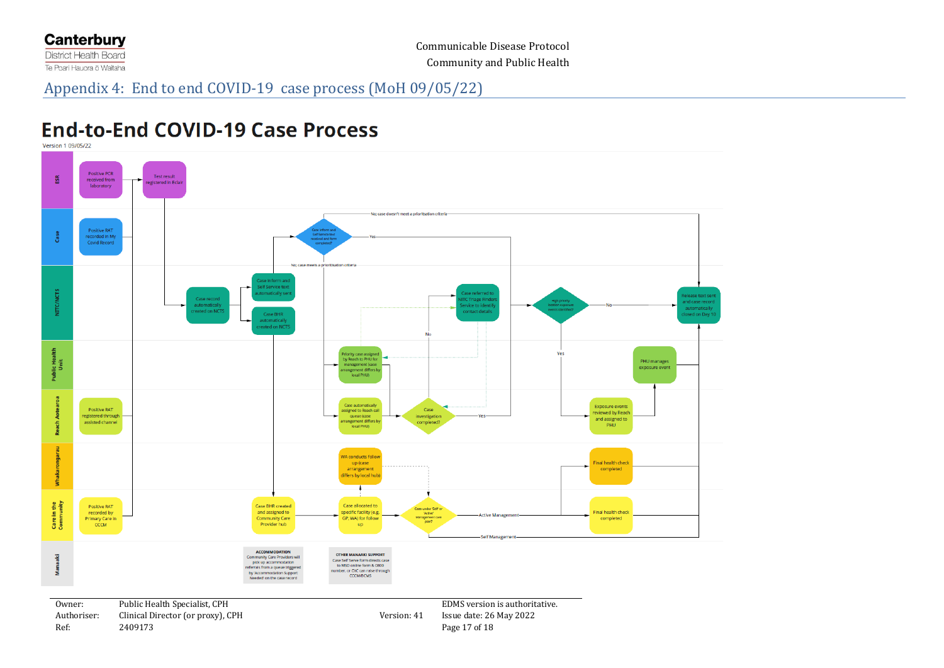

# **End-to-End COVID-19 Case Process**

Version 1 09/05/22

<span id="page-16-0"></span>